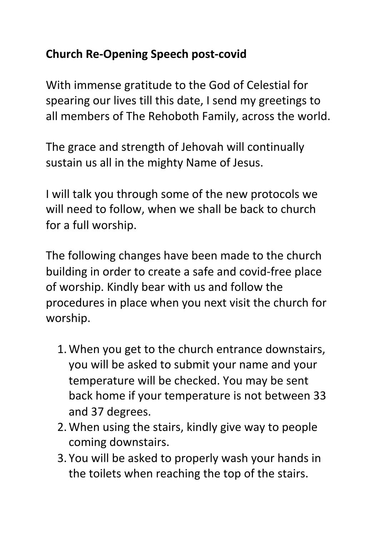## **Church Re-Opening Speech post-covid**

With immense gratitude to the God of Celestial for spearing our lives till this date, I send my greetings to all members of The Rehoboth Family, across the world.

The grace and strength of Jehovah will continually sustain us all in the mighty Name of Jesus.

I will talk you through some of the new protocols we will need to follow, when we shall be back to church for a full worship.

The following changes have been made to the church building in order to create a safe and covid-free place of worship. Kindly bear with us and follow the procedures in place when you next visit the church for worship.

- 1. When you get to the church entrance downstairs, you will be asked to submit your name and your temperature will be checked. You may be sent back home if your temperature is not between 33 and 37 degrees.
- 2. When using the stairs, kindly give way to people coming downstairs.
- 3. You will be asked to properly wash your hands in the toilets when reaching the top of the stairs.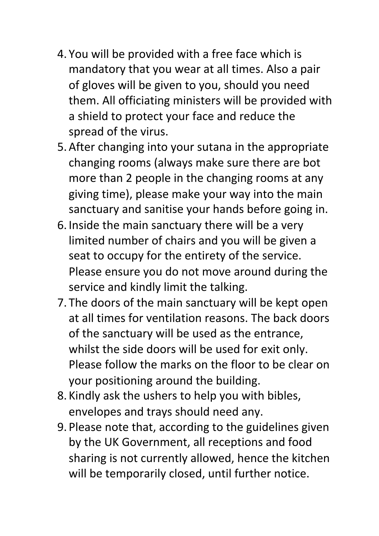- 4. You will be provided with a free face which is mandatory that you wear at all times. Also a pair of gloves will be given to you, should you need them. All officiating ministers will be provided with a shield to protect your face and reduce the spread of the virus.
- 5. After changing into your sutana in the appropriate changing rooms (always make sure there are bot more than 2 people in the changing rooms at any giving time), please make your way into the main sanctuary and sanitise your hands before going in.
- 6. Inside the main sanctuary there will be a very limited number of chairs and you will be given a seat to occupy for the entirety of the service. Please ensure you do not move around during the service and kindly limit the talking.
- 7. The doors of the main sanctuary will be kept open at all times for ventilation reasons. The back doors of the sanctuary will be used as the entrance, whilst the side doors will be used for exit only. Please follow the marks on the floor to be clear on your positioning around the building.
- 8. Kindly ask the ushers to help you with bibles, envelopes and trays should need any.
- 9. Please note that, according to the guidelines given by the UK Government, all receptions and food sharing is not currently allowed, hence the kitchen will be temporarily closed, until further notice.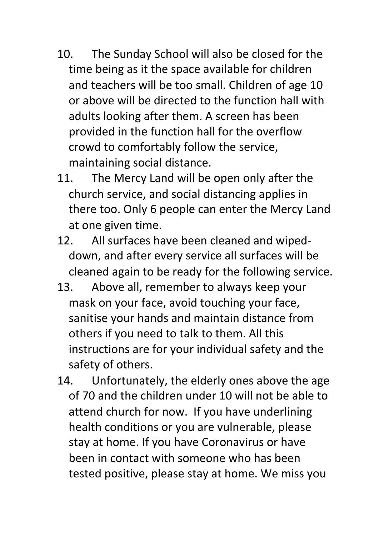- 10. The Sunday School will also be closed for the time being as it the space available for children and teachers will be too small. Children of age 10 or above will be directed to the function hall with adults looking after them. A screen has been provided in the function hall for the overflow crowd to comfortably follow the service, maintaining social distance.
- 11. The Mercy Land will be open only after the church service, and social distancing applies in there too. Only 6 people can enter the Mercy Land at one given time.
- 12. All surfaces have been cleaned and wipeddown, and after every service all surfaces will be cleaned again to be ready for the following service.
- 13. Above all, remember to always keep your mask on your face, avoid touching your face, sanitise your hands and maintain distance from others if you need to talk to them. All this instructions are for your individual safety and the safety of others.
- 14. Unfortunately, the elderly ones above the age of 70 and the children under 10 will not be able to attend church for now. If you have underlining health conditions or you are vulnerable, please stay at home. If you have Coronavirus or have been in contact with someone who has been tested positive, please stay at home. We miss you